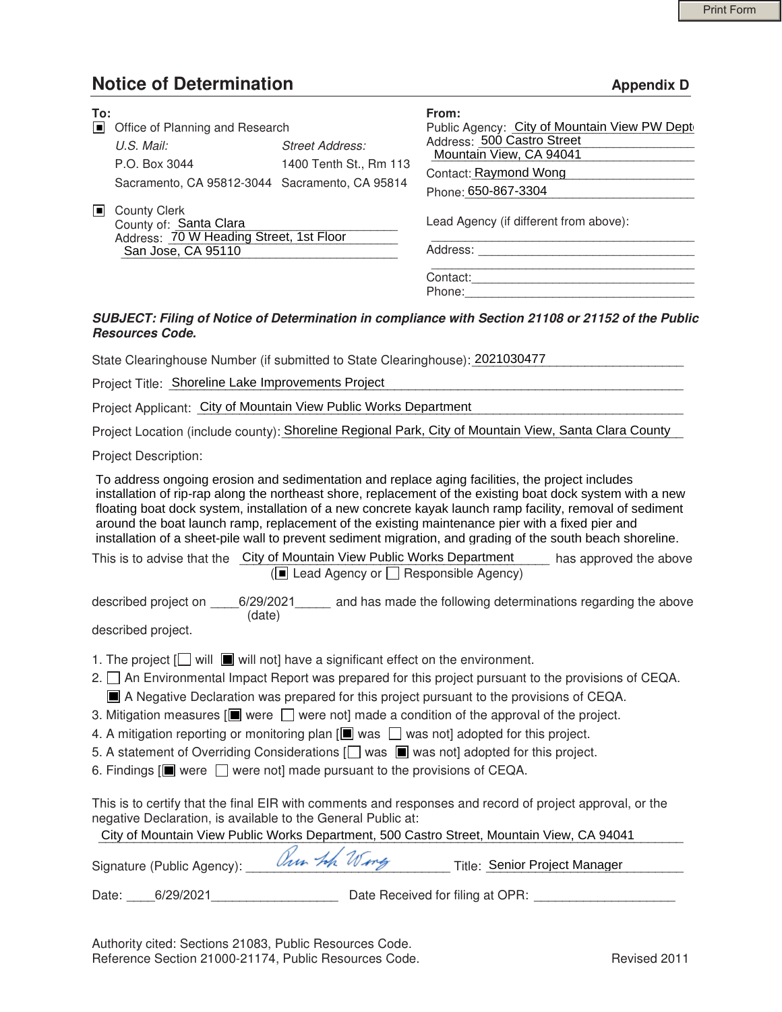## **Notice of Determination Appendix D**

| To:<br>$\Box$  | Office of Planning and Research                                                                                |                        | From:<br>Public Agency: City of Mountain View PW Dept |
|----------------|----------------------------------------------------------------------------------------------------------------|------------------------|-------------------------------------------------------|
|                | $U.S.$ Mail:                                                                                                   | Street Address:        | Address: 500 Castro Street<br>Mountain View, CA 94041 |
|                | P.O. Box 3044                                                                                                  | 1400 Tenth St., Rm 113 | Contact: Raymond Wong                                 |
|                | Sacramento, CA 95812-3044 Sacramento, CA 95814                                                                 |                        | Phone: 650-867-3304                                   |
| $\blacksquare$ | <b>County Clerk</b><br>County of: Santa Clara<br>Address: 70 W Heading Street, 1st Floor<br>San Jose, CA 95110 |                        | Lead Agency (if different from above):                |
|                |                                                                                                                |                        | Address:                                              |
|                |                                                                                                                |                        | Contact:<br>Phone:                                    |

#### *SUBJECT: Filing of Notice of Determination in compliance with Section 21108 or 21152 of the Public Resources Code.*

State Clearinghouse Number (if submitted to State Clearinghouse): 2021030477 \_\_\_\_\_\_\_\_\_\_\_\_\_\_\_\_\_\_\_\_\_\_<br>Project Title: Shoreline Lake Improvements Project

Project Title: Shoreline Lake Improvements Project

Project Applicant: City of Mountain View Public Works Department

Project Applicant: \_City of Mountain View Public Works Department \_\_\_\_\_\_\_\_\_\_\_\_\_\_\_<br>Project Location (include county): Shoreline Regional Park, City of Mountain View, Santa Clara County \_\_

Project Description:

To address ongoing erosion and sedimentation and replace aging facilities, the project includes installation of rip-rap along the northeast shore, replacement of the existing boat dock system with a new floating boat dock system, installation of a new concrete kayak launch ramp facility, removal of sediment around the boat launch ramp, replacement of the existing maintenance pier with a fixed pier and installation of a sheet-pile wall to prevent sediment migration, and grading of the south beach shoreline.

| This is to advise that the City of Mountain View Public Works Department | has approved the above |
|--------------------------------------------------------------------------|------------------------|
| $\Box$ Lead Agency or $\Box$ Responsible Agency)                         |                        |

described project on \_\_\_\_6/29/2021\_\_\_\_\_ and has made the following determinations regarding the above (date)

described project.

- 1. The project  $[\Box]$  will  $[\Box]$  will not] have a significant effect on the environment.
- 2. □ An Environmental Impact Report was prepared for this project pursuant to the provisions of CEQA.
- A Negative Declaration was prepared for this project pursuant to the provisions of CEQA.
- 3. Mitigation measures  $[\blacksquare]$  were  $\bigsqcup$  were not] made a condition of the approval of the project.
- 4. A mitigation reporting or monitoring plan  $[\blacksquare]$  was  $\Box$  was not] adopted for this project.
- 5. A statement of Overriding Considerations [ $\Box$  was  $\Box$  was not] adopted for this project.
- 6. Findings  $[\blacksquare]$  were  $\bigsqcup$  were not] made pursuant to the provisions of CEQA.

This is to certify that the final EIR with comments and responses and record of project approval, or the negative Declaration, is available to the General Public at:

|                                  |              | City of Mountain View Public Works Department, 500 Castro Street, Mountain View, CA 94041 |
|----------------------------------|--------------|-------------------------------------------------------------------------------------------|
| Signature (Public Agency):       | Our tok Wing | Title: Senior Project Manager                                                             |
| $\frac{1}{2}$<br>$\qquad \qquad$ |              |                                                                                           |

Date: \_\_\_\_6/29/2021\_\_\_\_\_\_\_\_\_\_\_\_\_\_\_\_\_\_ Date Received for filing at OPR: \_\_\_\_\_\_\_\_\_\_\_\_\_\_\_\_\_\_\_\_

Authority cited: Sections 21083, Public Resources Code. Reference Section 21000-21174, Public Resources Code. The revised 2011 Revised 2011